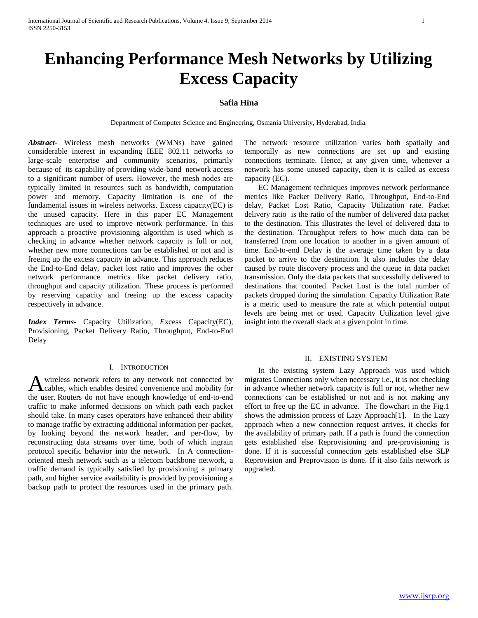# **Enhancing Performance Mesh Networks by Utilizing Excess Capacity**

# **Safia Hina**

Department of Computer Science and Engineering, Osmania University, Hyderabad, India.

*Abstract***-** Wireless mesh networks (WMNs) have gained considerable interest in expanding IEEE 802.11 networks to large-scale enterprise and community scenarios, primarily because of its capability of providing wide-band network access to a significant number of users. However, the mesh nodes are typically limited in resources such as bandwidth, computation power and memory. Capacity limitation is one of the fundamental issues in wireless networks. Excess capacity(EC) is the unused capacity. Here in this paper EC Management techniques are used to improve network performance. In this approach a proactive provisioning algorithm is used which is checking in advance whether network capacity is full or not, whether new more connections can be established or not and is freeing up the excess capacity in advance. This approach reduces the End-to-End delay, packet lost ratio and improves the other network performance metrics like packet delivery ratio, throughput and capacity utilization. These process is performed by reserving capacity and freeing up the excess capacity respectively in advance.

*Index Terms*- Capacity Utilization*, E*xcess Capacity(EC), Provisioning, Packet Delivery Ratio, Throughput, End-to-End Delay

#### I. INTRODUCTION

wireless network refers to any network not connected by A wireless network refers to any network not connected by cables, which enables desired convenience and mobility for the user. Routers do not have enough knowledge of end-to-end traffic to make informed decisions on which path each packet should take. In many cases operators have enhanced their ability to manage traffic by extracting additional information per-packet, by looking beyond the network header, and per-flow, by reconstructing data streams over time, both of which ingrain protocol specific behavior into the network. In A connectionoriented mesh network such as a telecom backbone network, a traffic demand is typically satisfied by provisioning a primary path, and higher service availability is provided by provisioning a backup path to protect the resources used in the primary path.

The network resource utilization varies both spatially and temporally as new connections are set up and existing connections terminate. Hence, at any given time, whenever a network has some unused capacity, then it is called as excess capacity (EC).

 EC Management techniques improves network performance metrics like Packet Delivery Ratio, Throughput, End-to-End delay, Packet Lost Ratio, Capacity Utilization rate. Packet delivery ratio is the ratio of the number of delivered data packet to the destination. This illustrates the level of delivered data to the destination. Throughput refers to how much data can be transferred from one location to another in a given amount of time. End-to-end Delay is the average time taken by a data packet to arrive to the destination. It also includes the delay caused by route discovery process and the queue in data packet transmission. Only the data packets that successfully delivered to destinations that counted. Packet Lost is the total number of packets dropped during the simulation. Capacity Utilization Rate is a metric used to measure the rate at which potential output levels are being met or used. Capacity Utilization level give insight into the overall slack at a given point in time.

#### II. EXISTING SYSTEM

 In the existing system Lazy Approach was used which migrates Connections only when necessary i.e., it is not checking in advance whether network capacity is full or not, whether new connections can be established or not and is not making any effort to free up the EC in advance. The flowchart in the Fig.1 shows the admission process of Lazy Approach[1]. In the Lazy approach when a new connection request arrives, it checks for the availability of primary path. If a path is found the connection gets established else Reprovisioning and pre-provisioning is done. If it is successful connection gets established else SLP Reprovision and Preprovision is done. If it also fails network is upgraded.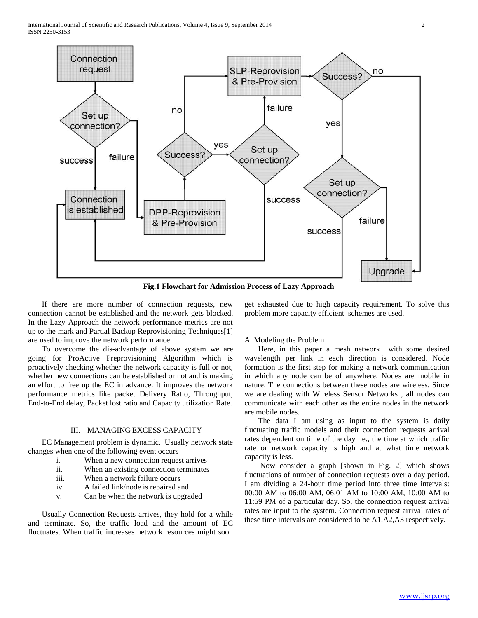

**Fig.1 Flowchart for Admission Process of Lazy Approach**

 If there are more number of connection requests, new connection cannot be established and the network gets blocked. In the Lazy Approach the network performance metrics are not up to the mark and Partial Backup Reprovisioning Techniques[1] are used to improve the network performance.

 To overcome the dis-advantage of above system we are going for ProActive Preprovisioning Algorithm which is proactively checking whether the network capacity is full or not, whether new connections can be established or not and is making an effort to free up the EC in advance. It improves the network performance metrics like packet Delivery Ratio, Throughput, End-to-End delay, Packet lost ratio and Capacity utilization Rate.

#### III. MANAGING EXCESS CAPACITY

 EC Management problem is dynamic. Usually network state changes when one of the following event occurs

- i. When a new connection request arrives
- ii. When an existing connection terminates
- iii. When a network failure occurs
- iv. A failed link/node is repaired and
- v. Can be when the network is upgraded

 Usually Connection Requests arrives, they hold for a while and terminate. So, the traffic load and the amount of EC fluctuates. When traffic increases network resources might soon get exhausted due to high capacity requirement. To solve this problem more capacity efficient schemes are used.

## A .Modeling the Problem

 Here, in this paper a mesh network with some desired wavelength per link in each direction is considered. Node formation is the first step for making a network communication in which any node can be of anywhere. Nodes are mobile in nature. The connections between these nodes are wireless. Since we are dealing with Wireless Sensor Networks , all nodes can communicate with each other as the entire nodes in the network are mobile nodes.

 The data I am using as input to the system is daily fluctuating traffic models and their connection requests arrival rates dependent on time of the day i.e., the time at which traffic rate or network capacity is high and at what time network capacity is less.

 Now consider a graph [shown in Fig. 2] which shows fluctuations of number of connection requests over a day period. I am dividing a 24-hour time period into three time intervals: 00:00 AM to 06:00 AM, 06:01 AM to 10:00 AM, 10:00 AM to 11:59 PM of a particular day. So, the connection request arrival rates are input to the system. Connection request arrival rates of these time intervals are considered to be A1,A2,A3 respectively.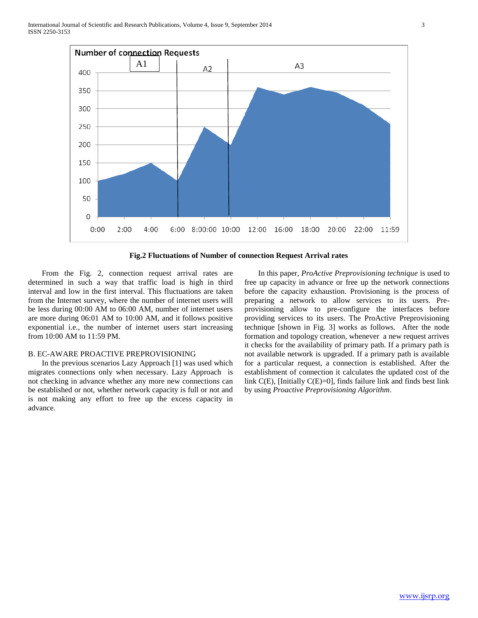

**Fig.2 Fluctuations of Number of connection Request Arrival rates**

 From the Fig. 2, connection request arrival rates are determined in such a way that traffic load is high in third interval and low in the first interval. This fluctuations are taken from the Internet survey, where the number of internet users will be less during 00:00 AM to 06:00 AM, number of internet users are more during 06:01 AM to 10:00 AM, and it follows positive exponential i.e., the number of internet users start increasing from 10:00 AM to 11:59 PM.

#### B. EC-AWARE PROACTIVE PREPROVISIONING

 In the previous scenarios Lazy Approach [1] was used which migrates connections only when necessary. Lazy Approach is not checking in advance whether any more new connections can be established or not, whether network capacity is full or not and is not making any effort to free up the excess capacity in advance.

 In this paper, *ProActive Preprovisioning technique* is used to free up capacity in advance or free up the network connections before the capacity exhaustion. Provisioning is the process of preparing a network to allow services to its users. Preprovisioning allow to pre-configure the interfaces before providing services to its users. The ProActive Preprovisioning technique [shown in Fig. 3] works as follows. After the node formation and topology creation, whenever a new request arrives it checks for the availability of primary path. If a primary path is not available network is upgraded. If a primary path is available for a particular request, a connection is established. After the establishment of connection it calculates the updated cost of the link C(E), [Initially C(E)=0], finds failure link and finds best link by using *Proactive Preprovisioning Algorithm*.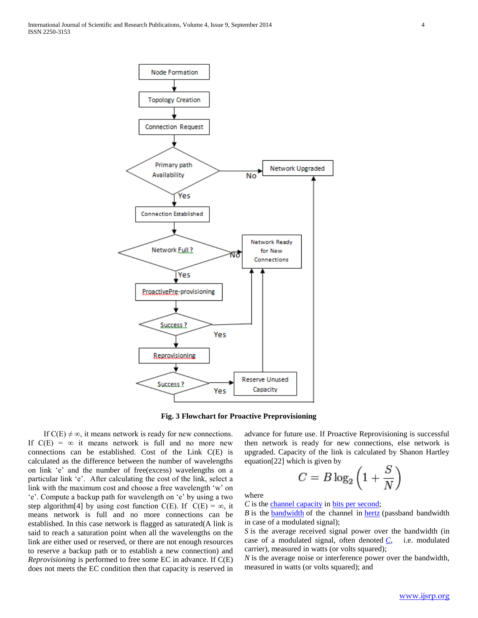

**Fig. 3 Flowchart for Proactive Preprovisioning**

If  $C(E) \neq \infty$ , it means network is ready for new connections. If  $C(E) = \infty$  it means network is full and no more new connections can be established. Cost of the Link C(E) is calculated as the difference between the number of wavelengths on link 'e' and the number of free(excess) wavelengths on a particular link 'e'. After calculating the cost of the link, select a link with the maximum cost and choose a free wavelength 'w' on 'e'. Compute a backup path for wavelength on 'e' by using a two step algorithm[4] by using cost function C(E). If C(E) =  $\infty$ , it means network is full and no more connections can be established. In this case network is flagged as saturated(A link is said to reach a saturation point when all the wavelengths on the link are either used or reserved, or there are not enough resources to reserve a backup path or to establish a new connection) and *Reprovisioning* is performed to free some EC in advance. If C(E) does not meets the EC condition then that capacity is reserved in

advance for future use. If Proactive Reprovisioning is successful then network is ready for new connections, else network is upgraded. Capacity of the link is calculated by Shanon Hartley equation[22] which is given by

$$
C = B \log_2 \left( 1 + \frac{S}{N} \right)
$$

where

*C* is the [channel capacity](http://en.wikipedia.org/wiki/Channel_capacity) in [bits per second;](http://en.wikipedia.org/wiki/Bits_per_second)

*B* is the **[bandwidth](http://en.wikipedia.org/wiki/Bandwidth_(signal_processing))** of the channel in **[hertz](http://en.wikipedia.org/wiki/Hertz)** (passband bandwidth in case of a modulated signal);

*S* is the average received signal power over the bandwidth (in case of a modulated signal, often denoted *[C](http://en.wikipedia.org/wiki/Carrier-to-noise_ratio)*, i.e. modulated carrier), measured in watts (or volts squared);

*N* is the average noise or interference power over the bandwidth, measured in watts (or volts squared); and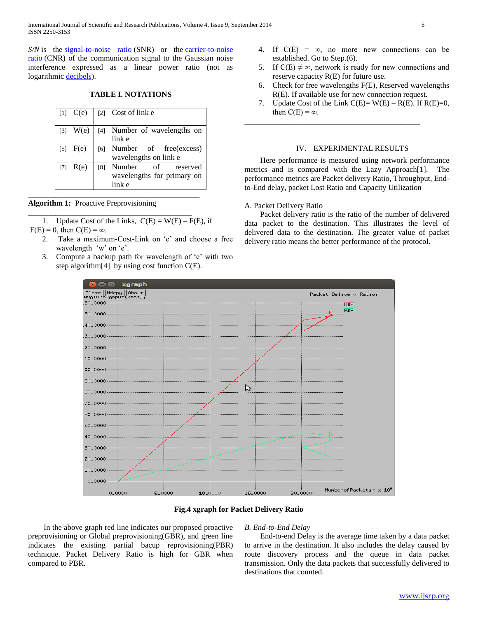International Journal of Scientific and Research Publications, Volume 4, Issue 9, September 2014 5 ISSN 2250-3153

*S/N* is the [signal-to-noise ratio](http://en.wikipedia.org/wiki/Signal-to-noise_ratio) (SNR) or the carrier-to-noise [ratio](http://en.wikipedia.org/wiki/Carrier-to-noise_ratio) (CNR) of the communication signal to the Gaussian noise interference expressed as a linear power ratio (not as logarithmic [decibels\)](http://en.wikipedia.org/wiki/Decibels).

## **TABLE I. NOTATIONS**

| $[1]$ $C(e)$ |     | [2] Cost of link e                                            |
|--------------|-----|---------------------------------------------------------------|
| $[3]$ W(e)   |     | [4] Number of wavelengths on<br>link e                        |
| $[5]$ $F(e)$ | [6] | Number of free(excess)<br>wavelengths on link e               |
| $[7]$ $R(e)$ | [8] | Number<br>of reserved<br>wavelengths for primary on<br>link e |

| Algorithm 1: Proactive Preprovisioning |  |  |
|----------------------------------------|--|--|

1. Update Cost of the Links,  $C(E) = W(E) - F(E)$ , if  $F(E) = 0$ , then  $C(E) = \infty$ .

\_\_\_\_\_\_\_\_\_\_\_\_\_\_\_\_\_\_\_\_\_\_\_\_\_\_\_\_\_\_\_\_\_\_\_\_\_\_\_\_\_\_\_\_

\_\_\_\_\_\_\_\_\_\_\_\_\_\_\_\_\_\_\_\_\_\_\_\_\_\_\_\_\_\_\_\_\_\_\_\_\_\_\_\_\_\_

- 2. Take a maximum-Cost-Link on 'e' and choose a free wavelength 'w' on 'e'.
- 3. Compute a backup path for wavelength of 'e' with two step algorithm[4] by using cost function C(E).
- 4. If  $C(E) = \infty$ , no more new connections can be established. Go to Step.(6).
- 5. If  $C(E) \neq \infty$ , network is ready for new connections and reserve capacity R(E) for future use.
- 6. Check for free wavelengths F(E), Reserved wavelengths R(E). If available use for new connection request.
- 7. Update Cost of the Link  $C(E) = W(E) R(E)$ . If  $R(E)=0$ , then  $C(E) = \infty$ .

\_\_\_\_\_\_\_\_\_\_\_\_\_\_\_\_\_\_\_\_\_\_\_\_\_\_\_\_\_\_\_\_\_\_\_\_\_\_\_\_\_\_\_\_\_

## IV. EXPERIMENTAL RESULTS

 Here performance is measured using network performance metrics and is compared with the Lazy Approach[1]. The performance metrics are Packet delivery Ratio, Throughput, Endto-End delay, packet Lost Ratio and Capacity Utilization

#### A. Packet Delivery Ratio

 Packet delivery ratio is the ratio of the number of delivered data packet to the destination. This illustrates the level of delivered data to the destination. The greater value of packet delivery ratio means the better performance of the protocol.



#### **Fig.4 xgraph for Packet Delivery Ratio**

 In the above graph red line indicates our proposed proactive preprovisioning or Global preprovisioning(GBR), and green line indicates the existing partial bacup reprovisioning(PBR) technique. Packet Delivery Ratio is high for GBR when compared to PBR.

## *B. End-to-End Delay*

 End-to-end Delay is the average time taken by a data packet to arrive in the destination. It also includes the delay caused by route discovery process and the queue in data packet transmission. Only the data packets that successfully delivered to destinations that counted.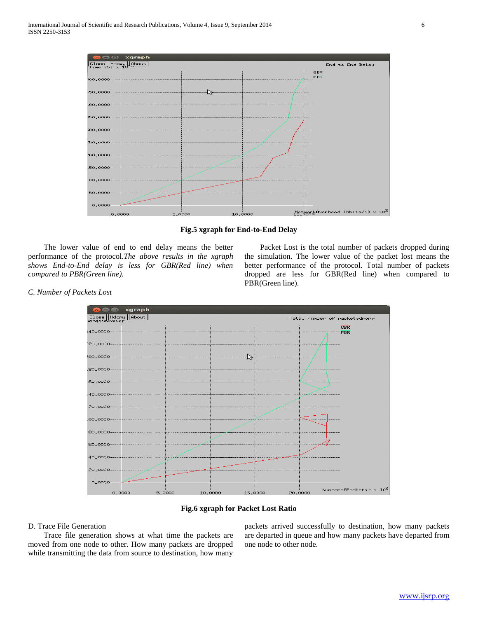

**Fig.5 xgraph for End-to-End Delay**

 The lower value of end to end delay means the better performance of the protocol.*The above results in the xgraph shows End-to-End delay is less for GBR(Red line) when compared to PBR(Green line).*

 Packet Lost is the total number of packets dropped during the simulation. The lower value of the packet lost means the better performance of the protocol. Total number of packets dropped are less for GBR(Red line) when compared to PBR(Green line).

![](_page_5_Figure_5.jpeg)

![](_page_5_Figure_6.jpeg)

## D. Trace File Generation

 Trace file generation shows at what time the packets are moved from one node to other. How many packets are dropped while transmitting the data from source to destination, how many

packets arrived successfully to destination, how many packets are departed in queue and how many packets have departed from one node to other node.

## *C. Number of Packets Lost*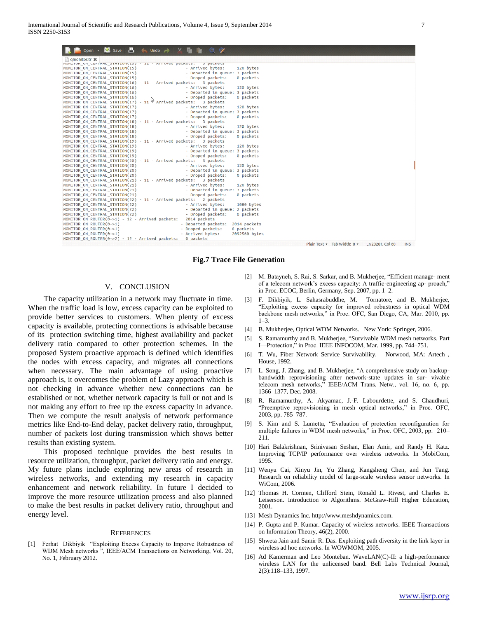| $\circ$ $\circ$<br>Save<br>Р.<br>$\leftarrow$ Undo $\rightarrow$ $\rightarrow$<br>Open v |                                                               |
|------------------------------------------------------------------------------------------|---------------------------------------------------------------|
| gmonitor.tr <b>x</b>                                                                     |                                                               |
| TIUNITUR_UN_CENTRAL_STATIUN(15) - 11 - ATTIVed packets:<br><b>3 DOCKELS</b>              |                                                               |
| - Arrived bytes:<br>MONITOR ON CENTRAL STATION(15)                                       | 120 bytes                                                     |
| - Departed in queue: 3 packets<br>MONITOR_ON_CENTRAL_STATION(15)                         |                                                               |
| - Droped packets:<br>MONITOR ON CENTRAL STATION(15)                                      | 0 packets                                                     |
| 3 packets<br>MONITOR ON CENTRAL STATION(16) - 11 - Arrived packets:                      |                                                               |
| - Arrived bytes:<br>MONITOR ON CENTRAL STATION(16)                                       | 120 bytes                                                     |
| - Departed in queue: 3 packets<br>MONITOR ON CENTRAL STATION(16)                         |                                                               |
| - Droped packets:<br>MONITOR ON CENTRAL STATION(16)                                      | 0 packets                                                     |
| MONITOR_ON_CENTRAL_STATION(17) - 11 S Arrived packets: 3 packets                         |                                                               |
| - Arrived bytes:<br>MONITOR ON CENTRAL STATION(17)                                       | 120 bytes                                                     |
| - Departed in queue: 3 packets<br>MONITOR ON CENTRAL STATION(17)                         |                                                               |
| - Droped packets:<br>MONITOR ON CENTRAL STATION(17)                                      | 0 packets                                                     |
| MONITOR_ON_CENTRAL_STATION(18) - 11 - Arrived packets: 3 packets                         |                                                               |
| - Arrived bytes:<br>MONITOR ON CENTRAL STATION(18)                                       | 120 bytes                                                     |
| - Departed in queue: 3 packets<br>MONITOR ON CENTRAL STATION(18)                         |                                                               |
| - Droped packets:<br>MONITOR ON CENTRAL STATION(18)                                      | 0 packets                                                     |
| MONITOR_ON_CENTRAL_STATION(19) - 11 - Arrived packets: 3 packets                         |                                                               |
| - Arrived bytes:<br>MONITOR ON CENTRAL STATION(19)                                       | 120 bytes                                                     |
| - Departed in queue: 3 packets<br>MONITOR ON CENTRAL STATION(19)                         |                                                               |
| - Droped packets:<br>MONITOR_ON_CENTRAL_STATION(19)                                      | 0 packets                                                     |
| MONITOR_ON_CENTRAL_STATION(20) - 11 - Arrived packets: 3 packets                         |                                                               |
| - Arrived bytes:<br>MONITOR ON CENTRAL STATION(20)                                       | 120 bytes                                                     |
| - Departed in queue: 3 packets<br>MONITOR ON CENTRAL STATION(20)                         |                                                               |
| - Droped packets:<br>MONITOR ON CENTRAL STATION(20)                                      | 0 packets                                                     |
| MONITOR_ON_CENTRAL_STATION(21) - 11 - Arrived packets:<br>3 packets                      |                                                               |
| - Arrived bytes:<br>MONITOR ON CENTRAL STATION(21)                                       | 120 bytes                                                     |
| - Departed in queue: 3 packets<br>MONITOR ON CENTRAL STATION(21)                         |                                                               |
| - Droped packets:<br>MONITOR ON CENTRAL STATION(21)                                      | 0 packets                                                     |
| MONITOR_ON_CENTRAL_STATION(22) - 11 - Arrived packets: 2 packets                         |                                                               |
| - Arrived bytes:<br>MONITOR ON CENTRAL STATION(22)                                       | 1080 bytes                                                    |
| - Departed in queue: 2 packets<br>MONITOR_ON_CENTRAL_STATION(22)                         |                                                               |
| - Droped packets:<br>MONITOR ON CENTRAL STATION(22)                                      | 0 packets                                                     |
| 2014 packets<br>MONITOR ON ROUTER $(0-1) - 12 -$ Arrived packets:                        |                                                               |
| - Departed packets:<br>MONITOR ON ROUTER(0->1)                                           | 2014 packets                                                  |
| - Droped packets:<br>MONITOR ON ROUTER(0->1)                                             | 0 packets                                                     |
| - Arrived bytes:<br>MONITOR ON ROUTER (0->1)                                             | 2092560 bytes                                                 |
| 0 packets<br>MONITOR ON ROUTER( $0->2$ ) - 12 - Arrived packets:                         |                                                               |
|                                                                                          | Plain Text v Tab Width: 8 v<br>Ln 23281, Col 60<br><b>INS</b> |

#### **Fig.7 Trace File Generation**

## V. CONCLUSION

 The capacity utilization in a network may fluctuate in time. When the traffic load is low, excess capacity can be exploited to provide better services to customers. When plenty of excess capacity is available, protecting connections is advisable because of its protection switching time, highest availability and packet delivery ratio compared to other protection schemes. In the proposed System proactive approach is defined which identifies the nodes with excess capacity, and migrates all connections when necessary. The main advantage of using proactive approach is, it overcomes the problem of Lazy approach which is not checking in advance whether new connections can be established or not, whether network capacity is full or not and is not making any effort to free up the excess capacity in advance. Then we compute the result analysis of network performance metrics like End-to-End delay, packet delivery ratio, throughput, number of packets lost during transmission which shows better results than existing system.

 This proposed technique provides the best results in resource utilization, throughput, packet delivery ratio and energy. My future plans include exploring new areas of research in wireless networks, and extending my research in capacity enhancement and network reliability. In future I decided to improve the more resource utilization process and also planned to make the best results in packet delivery ratio, throughput and energy level.

#### **REFERENCES**

[1] Ferhat Dikbiyik "Exploiting Excess Capacity to Imporve Robustness of WDM Mesh networks ", IEEE/ACM Transactions on Networking, Vol. 20, No. 1, February 2012.

- [2] M. Batayneh, S. Rai, S. Sarkar, and B. Mukherjee, "Efficient manage- ment of a telecom network's excess capacity: A traffic-engineering ap- proach," in Proc. ECOC, Berlin, Germany, Sep. 2007, pp. 1–2.
- [3] F. Dikbiyik, L. Sahasrabuddhe, M. Tornatore, and B. Mukherjee, "Exploiting excess capacity for improved robustness in optical WDM backbone mesh networks," in Proc. OFC, San Diego, CA, Mar. 2010, pp.  $1 - 3$
- [4] B. Mukherjee, Optical WDM Networks. New York: Springer, 2006.
- [5] S. Ramamurthy and B. Mukherjee, "Survivable WDM mesh networks. Part I—Protection," in Proc. IEEE INFOCOM, Mar. 1999, pp. 744–751.
- [6] T. Wu, Fiber Network Service Survivability. Norwood, MA: Artech , House, 1992.
- [7] L. Song, J. Zhang, and B. Mukherjee, "A comprehensive study on backupbandwidth reprovisioning after network-state updates in sur- vivable telecom mesh networks," IEEE/ACM Trans. Netw., vol. 16, no. 6, pp. 1366–1377, Dec. 2008.
- [8] R. Ramamurthy, A. Akyamac, J.-F. Labourdette, and S. Chaudhuri, "Preemptive reprovisioning in mesh optical networks," in Proc. OFC, 2003, pp. 785–787.
- [9] S. Kim and S. Lumetta, "Evaluation of protection reconfiguration for multiple failures in WDM mesh networks," in Proc. OFC, 2003, pp. 210– 211.
- [10] Hari Balakrishnan, Srinivasan Seshan, Elan Amir, and Randy H. Katz. Improving TCP/IP performance over wireless networks. In MobiCom, 1995.
- [11] Wenyu Cai, Xinyu Jin, Yu Zhang, Kangsheng Chen, and Jun Tang. Research on reliability model of large-scale wireless sensor networks. In WiCom, 2006.
- [12] Thomas H. Cormen, Clifford Stein, Ronald L. Rivest, and Charles E. Leiserson. Introduction to Algorithms. McGraw-Hill Higher Education, 2001.
- [13] Mesh Dynamics Inc. http://www.meshdynamics.com.
- [14] P. Gupta and P. Kumar. Capacity of wireless networks. IEEE Transactions on Information Theory, 46(2), 2000.
- [15] Shweta Jain and Samir R. Das. Exploiting path diversity in the link layer in wireless ad hoc networks. In WOWMOM, 2005.
- [16] Ad Kamerman and Leo Monteban. WaveLAN(C)-II: a high-performance wireless LAN for the unlicensed band. Bell Labs Technical Journal, 2(3):118–133, 1997.